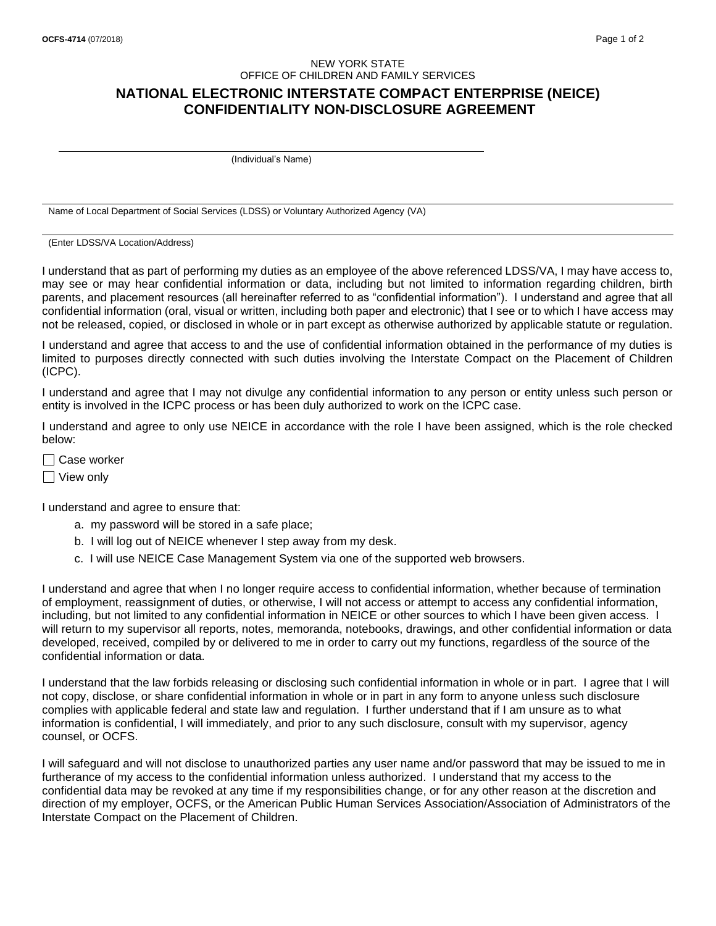## NEW YORK STATE OFFICE OF CHILDREN AND FAMILY SERVICES

## **NATIONAL ELECTRONIC INTERSTATE COMPACT ENTERPRISE (NEICE) CONFIDENTIALITY NON-DISCLOSURE AGREEMENT**

(Individual's Name)

Name of Local Department of Social Services (LDSS) or Voluntary Authorized Agency (VA)

(Enter LDSS/VA Location/Address)

I understand that as part of performing my duties as an employee of the above referenced LDSS/VA, I may have access to, may see or may hear confidential information or data, including but not limited to information regarding children, birth parents, and placement resources (all hereinafter referred to as "confidential information"). I understand and agree that all confidential information (oral, visual or written, including both paper and electronic) that I see or to which I have access may not be released, copied, or disclosed in whole or in part except as otherwise authorized by applicable statute or regulation.

I understand and agree that access to and the use of confidential information obtained in the performance of my duties is limited to purposes directly connected with such duties involving the Interstate Compact on the Placement of Children (ICPC).

I understand and agree that I may not divulge any confidential information to any person or entity unless such person or entity is involved in the ICPC process or has been duly authorized to work on the ICPC case.

I understand and agree to only use NEICE in accordance with the role I have been assigned, which is the role checked below:

 $\Box$  Case worker

□ View only

I understand and agree to ensure that:

- a. my password will be stored in a safe place;
- b. I will log out of NEICE whenever I step away from my desk.
- c. I will use NEICE Case Management System via one of the supported web browsers.

I understand and agree that when I no longer require access to confidential information, whether because of termination of employment, reassignment of duties, or otherwise, I will not access or attempt to access any confidential information, including, but not limited to any confidential information in NEICE or other sources to which I have been given access. I will return to my supervisor all reports, notes, memoranda, notebooks, drawings, and other confidential information or data developed, received, compiled by or delivered to me in order to carry out my functions, regardless of the source of the confidential information or data.

I understand that the law forbids releasing or disclosing such confidential information in whole or in part. I agree that I will not copy, disclose, or share confidential information in whole or in part in any form to anyone unless such disclosure complies with applicable federal and state law and regulation. I further understand that if I am unsure as to what information is confidential, I will immediately, and prior to any such disclosure, consult with my supervisor, agency counsel, or OCFS.

I will safeguard and will not disclose to unauthorized parties any user name and/or password that may be issued to me in furtherance of my access to the confidential information unless authorized. I understand that my access to the confidential data may be revoked at any time if my responsibilities change, or for any other reason at the discretion and direction of my employer, OCFS, or the American Public Human Services Association/Association of Administrators of the Interstate Compact on the Placement of Children.